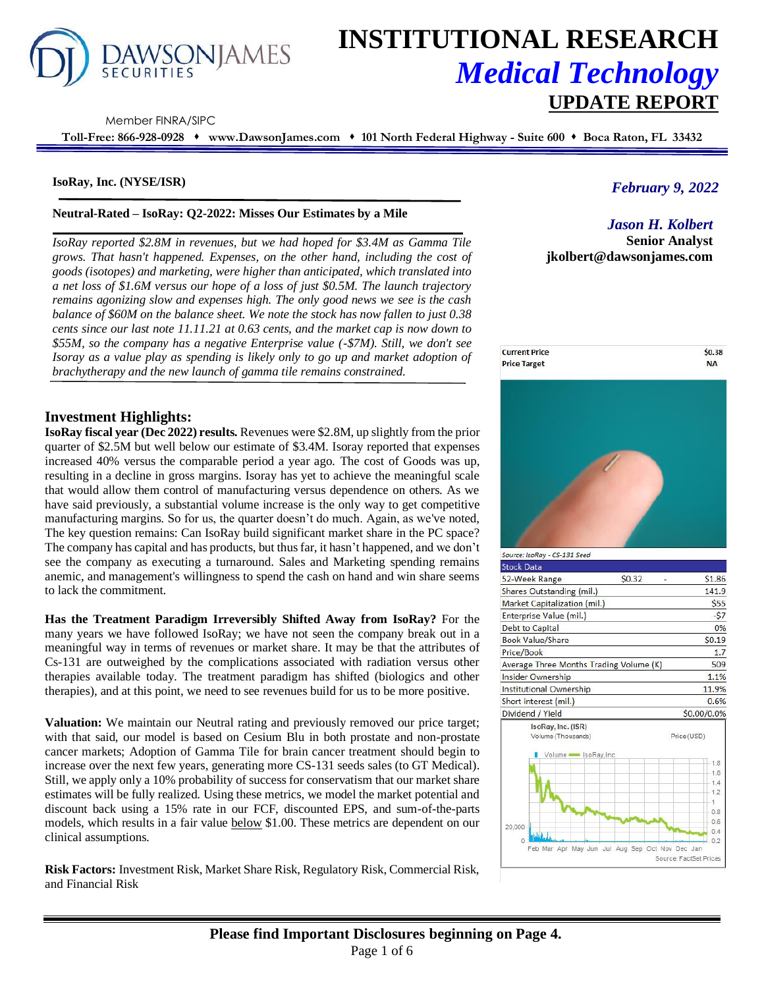

# **INSTITUTIONAL RESEARCH** *Medical Technology* **UPDATE REPORT**

Member FINRA/SIPC

**Toll-Free: 866-928-0928** ⬧ **www.DawsonJames.com** ⬧ **101 North Federal Highway - Suite 600** ⬧ **Boca Raton, FL 33432**

#### **IsoRay, Inc. (NYSE/ISR)**

#### **Neutral-Rated – IsoRay: Q2-2022: Misses Our Estimates by a Mile**

*IsoRay reported \$2.8M in revenues, but we had hoped for \$3.4M as Gamma Tile grows. That hasn't happened. Expenses, on the other hand, including the cost of goods (isotopes) and marketing, were higher than anticipated, which translated into a net loss of \$1.6M versus our hope of a loss of just \$0.5M. The launch trajectory remains agonizing slow and expenses high. The only good news we see is the cash balance of \$60M on the balance sheet. We note the stock has now fallen to just 0.38 cents since our last note 11.11.21 at 0.63 cents, and the market cap is now down to \$55M, so the company has a negative Enterprise value (-\$7M). Still, we don't see Isoray as a value play as spending is likely only to go up and market adoption of brachytherapy and the new launch of gamma tile remains constrained.* 

# *February 9, 2022*

*Jason H. Kolbert* **Senior Analyst jkolbert@dawsonjames.com**



| Source: IsoRay - CS-131 Seed                                   |                                                 |             |
|----------------------------------------------------------------|-------------------------------------------------|-------------|
| <b>Stock Data</b>                                              |                                                 |             |
| 52-Week Range                                                  | \$0.32                                          | \$1.86      |
| Shares Outstanding (mil.)                                      |                                                 | 141.9       |
| Market Capitalization (mil.)                                   |                                                 | \$55        |
| Enterprise Value (mil.)                                        |                                                 | $-57$       |
| Debt to Capital                                                |                                                 | 0%          |
| <b>Book Value/Share</b>                                        |                                                 | \$0.19      |
| Price/Book                                                     |                                                 | 1.7         |
| Average Three Months Trading Volume (K)                        |                                                 | 509         |
| Insider Ownership                                              |                                                 | 1.1%        |
| Institutional Ownership                                        |                                                 | 11.9%       |
| Short interest (mil.)                                          |                                                 | 0.6%        |
| Dividend / Yield                                               |                                                 | \$0.00/0.0% |
| IsoRay, Inc. (ISR)<br>Volume (Thousands)<br>Volume SoRay, Inc. |                                                 | Price (USD) |
|                                                                |                                                 | 1.8         |
|                                                                |                                                 | 1.6         |
|                                                                |                                                 | 1.4<br>1.2  |
|                                                                |                                                 |             |
|                                                                |                                                 | 0.8         |
| $20,000 =$                                                     |                                                 | 0.6         |
| <b>GJU A</b>                                                   |                                                 | 0.4         |
|                                                                | Feb Mar Apr May Jun Jul Aug Sep Oct Nov Dec Jan | 0.2         |

# **Investment Highlights:**

**IsoRay fiscal year (Dec 2022) results.** Revenues were \$2.8M, up slightly from the prior quarter of \$2.5M but well below our estimate of \$3.4M. Isoray reported that expenses increased 40% versus the comparable period a year ago. The cost of Goods was up, resulting in a decline in gross margins. Isoray has yet to achieve the meaningful scale that would allow them control of manufacturing versus dependence on others. As we have said previously, a substantial volume increase is the only way to get competitive manufacturing margins. So for us, the quarter doesn't do much. Again, as we've noted, The key question remains: Can IsoRay build significant market share in the PC space? The company has capital and has products, but thus far, it hasn't happened, and we don't see the company as executing a turnaround. Sales and Marketing spending remains anemic, and management's willingness to spend the cash on hand and win share seems to lack the commitment.

**Has the Treatment Paradigm Irreversibly Shifted Away from IsoRay?** For the many years we have followed IsoRay; we have not seen the company break out in a meaningful way in terms of revenues or market share. It may be that the attributes of Cs-131 are outweighed by the complications associated with radiation versus other therapies available today. The treatment paradigm has shifted (biologics and other therapies), and at this point, we need to see revenues build for us to be more positive.

**Valuation:** We maintain our Neutral rating and previously removed our price target; with that said, our model is based on Cesium Blu in both prostate and non-prostate cancer markets; Adoption of Gamma Tile for brain cancer treatment should begin to increase over the next few years, generating more CS-131 seeds sales (to GT Medical). Still, we apply only a 10% probability of success for conservatism that our market share estimates will be fully realized. Using these metrics, we model the market potential and discount back using a 15% rate in our FCF, discounted EPS, and sum-of-the-parts models, which results in a fair value below \$1.00. These metrics are dependent on our clinical assumptions.

**Risk Factors:** Investment Risk, Market Share Risk, Regulatory Risk, Commercial Risk, and Financial Risk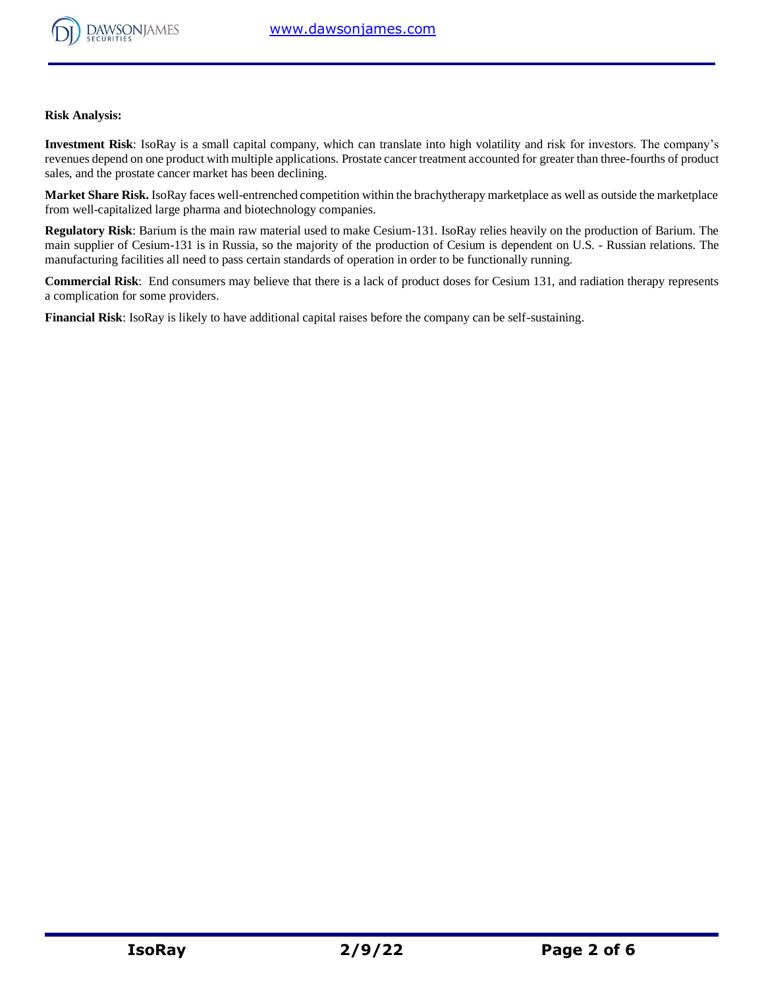

**Risk Analysis:**

**Investment Risk**: IsoRay is a small capital company, which can translate into high volatility and risk for investors. The company's revenues depend on one product with multiple applications. Prostate cancer treatment accounted for greater than three-fourths of product sales, and the prostate cancer market has been declining.

**Market Share Risk.** IsoRay faces well-entrenched competition within the brachytherapy marketplace as well as outside the marketplace from well-capitalized large pharma and biotechnology companies.

**Regulatory Risk**: Barium is the main raw material used to make Cesium-131. IsoRay relies heavily on the production of Barium. The main supplier of Cesium-131 is in Russia, so the majority of the production of Cesium is dependent on U.S. - Russian relations. The manufacturing facilities all need to pass certain standards of operation in order to be functionally running.

**Commercial Risk**: End consumers may believe that there is a lack of product doses for Cesium 131, and radiation therapy represents a complication for some providers.

**Financial Risk**: IsoRay is likely to have additional capital raises before the company can be self-sustaining.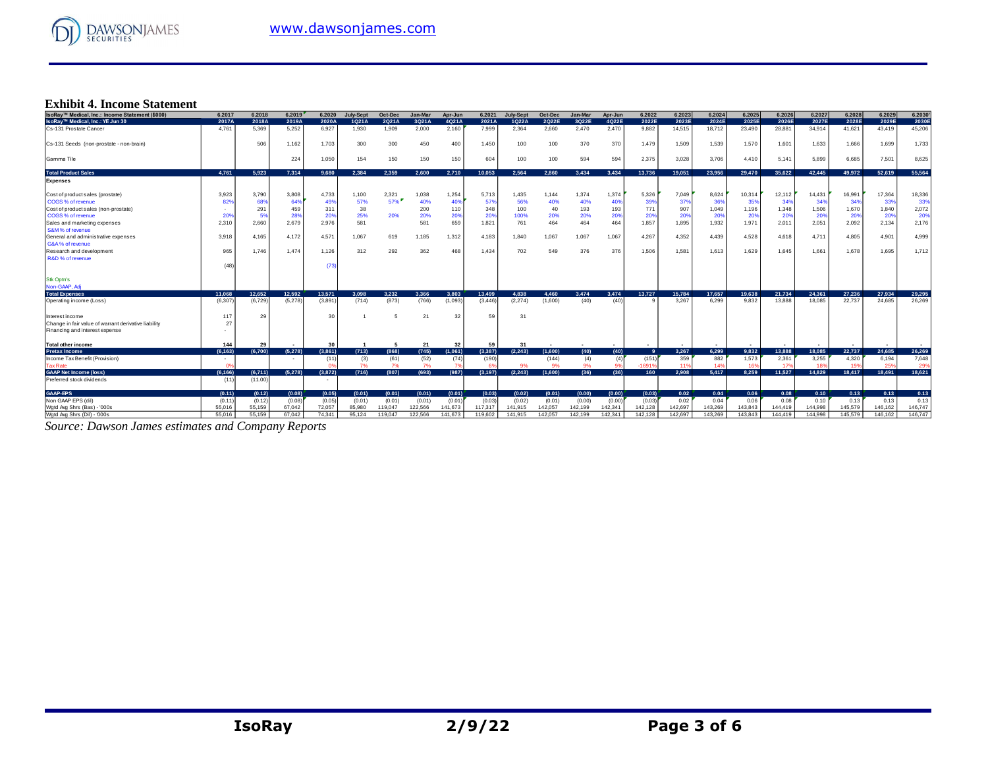

#### **Exhibit 4. Income Statement**

| IsoRav™ Medical, Inc.: Income Statement (\$000)      | 6.2017   | 6.2018  | 6.2019  | 6.2020  | <b>July-Sept</b> | Oct-Dec | Jan-Mar | Apr-Jun | 6.2021         | July-Sept      | Oct-Dec | Jan-Mar | Apr-Jun | 6.2022   | 6.2023  | 6.2024  | 6.2025  | 6.2026  | 6.2027  | 6.2028  | 6.2029  | 6.2030  |
|------------------------------------------------------|----------|---------|---------|---------|------------------|---------|---------|---------|----------------|----------------|---------|---------|---------|----------|---------|---------|---------|---------|---------|---------|---------|---------|
| IsoRay™ Medical, Inc.: YE Jun 30                     | 2017A    | 2018A   | 2019A   | 2020A   | 1Q21A            | 2Q21A   | 3Q21A   | 4Q21A   | 2021A          | 1Q22A          | 2Q22E   | 3Q22E   | 4Q22E   | 2022E    | 2023E   | 2024E   | 2025E   | 2026E   | 2027E   | 2028E   | 2029E   | 2030E   |
| Cs-131 Prostate Cancer                               | 4.761    | 5.369   | 5.252   | 6.927   | 1.930            | 1.909   | 2.000   | 2,160   | 7.999          | 2,364          | 2.660   | 2.470   | 2.470   | 9,882    | 14.515  | 18,712  | 23,490  | 28,881  | 34.914  | 41,621  | 43.419  | 45,206  |
| Cs-131 Seeds (non-prostate - non-brain)              |          | 506     | 1,162   | 1,703   | 300              | 300     | 450     | 400     | 1,450          | 100            | 100     | 370     | 370     | 1,479    | 1,509   | 1,539   | 1,570   | 1,601   | 1.633   | 1,666   | 1,699   | 1,733   |
| Gamma Tile                                           |          |         | 224     | 1,050   | 154              | 150     | 150     | 150     | 604            | 100            | 100     | 594     | 594     | 2,375    | 3,028   | 3,706   | 4.410   | 5.141   | 5,899   | 6,685   | 7,501   | 8,625   |
| <b>Total Product Sales</b>                           | 4.761    | 5.923   | 7.314   | 9.680   | 2.384            | 2.359   | 2.600   | 2.710   | 10.053         | 2.564          | 2.860   | 3.434   | 3.434   | 13.736   | 19,051  | 23.956  | 29,470  | 35.622  | 42.445  | 49.972  | 52.619  | 55.564  |
| <b>Expenses</b>                                      |          |         |         |         |                  |         |         |         |                |                |         |         |         |          |         |         |         |         |         |         |         |         |
| Cost of product sales (prostate)                     | 3.923    | 3.790   | 3,808   | 4,733   | 1,100            | 2,321   | 1,038   | 1,254   | 5.713          | 1,435          | 1.144   | 1,374   | 1,374   | 5,326    | 7,049   | 8,624   | 10,314  | 12.112  | 14.431  | 16,991  | 17,364  | 18,336  |
| COGS % of revenue                                    | 82%      | 68%     | 64%     | 49%     | 57%              | $57\%$  | 40%     | 40%     | 57%            | 56%            | 40%     | 40%     | 40%     | 399      | 379     | 36%     | 35%     | 34%     | 34%     | 34%     | 33%     | 33%     |
| Cost of product sales (non-prostate)                 |          | 291     | 459     | 311     | 38               |         | 200     | 110     | 348            | 100            | 40      | 193     | 193     | 771      | 907     | 1,049   | 1,196   | 1,348   | 1,506   | 1,670   | 1,840   | 2,072   |
| COGS % of revenue                                    | 209      | 5%      | 28%     | 20%     | 25%              | 20%     | 20%     | 20%     | 20%            | 100%           | 20%     | 20%     | 20%     | 20%      | 20%     | 20%     | 20%     | 20%     | 20%     | 20%     | 20%     | 20%     |
| Sales and marketing expenses                         | 2,310    | 2.660   | 2,679   | 2,976   | 581              |         | 581     | 659     | 1,821          | 761            | 464     | 464     | 464     | 1,857    | 1,895   | 1,932   | 1,971   | 2,011   | 2,051   | 2,092   | 2,134   | 2,176   |
| S&M% of revenue                                      |          |         |         |         |                  |         |         |         |                |                |         |         |         |          |         |         |         |         |         |         |         |         |
| General and administrative expenses                  | 3.918    | 4.165   | 4.172   | 4,571   | 1,067            | 619     | 1,185   | 1,312   | 4,183          | 1,840          | 1,067   | 1,067   | 1,067   | 4,267    | 4,352   | 4,439   | 4,528   | 4.618   | 4.711   | 4,805   | 4,901   | 4,999   |
| G&A% of revenue                                      |          |         |         |         |                  |         |         |         |                |                |         |         |         |          |         |         |         |         |         |         |         |         |
| Research and development                             | 965      | 1.746   | 1.474   | 1,126   | 312              | 292     | 362     | 468     | 1.434          | 702            | 549     | 376     | 376     | 1,506    | 1,581   | 1,613   | 1,629   | 1.645   | 1.661   | 1.678   | 1,695   | 1,712   |
| R&D % of revenue                                     |          |         |         |         |                  |         |         |         |                |                |         |         |         |          |         |         |         |         |         |         |         |         |
|                                                      | (48)     |         |         | (73)    |                  |         |         |         |                |                |         |         |         |          |         |         |         |         |         |         |         |         |
| <b>Stk Optn's</b>                                    |          |         |         |         |                  |         |         |         |                |                |         |         |         |          |         |         |         |         |         |         |         |         |
| Non-GAAP, Adj                                        |          |         |         |         |                  |         |         |         |                |                |         |         |         |          |         |         |         |         |         |         |         |         |
| <b>Total Expenses</b>                                | 11.068   | 12.652  | 12.592  | 13,571  | 3.098            | 3.232   | 3.366   | 3.803   | 13,499         | 4.838          | 4.460   | 3.474   | 3.474   | 13.727   | 15.784  | 17.657  | 19.638  | 21.734  | 24.361  | 27.236  | 27,934  | 29.295  |
| Operating income (Loss)                              | (6, 307) | (6.729) | (5,278) | (3,891) | (714)            | (873)   | (766)   | (1,093) | (3.446)        | (2, 274)       | (1,600) | (40)    | (40)    |          | 3.267   | 6.299   | 9.832   | 13.888  | 18.085  | 22.737  | 24.685  | 26,269  |
| Interest income                                      | 117      | 29      |         | 30      |                  | 5       | 21      | 32      | 59             | 3 <sup>1</sup> |         |         |         |          |         |         |         |         |         |         |         |         |
| Change in fair value of warrant derivative liability | 27       |         |         |         |                  |         |         |         |                |                |         |         |         |          |         |         |         |         |         |         |         |         |
| Financing and interest expense                       |          |         |         |         |                  |         |         |         |                |                |         |         |         |          |         |         |         |         |         |         |         |         |
| <b>Total other income</b>                            | 144      | 29      |         | 30      |                  | -5      | 21      | 32      | 59             | 31             |         |         | $\sim$  |          |         |         |         |         |         |         |         |         |
| <b>Pretax Income</b>                                 | (6.163)  | (6.700) | (5.278) | (3.861) | (713)            | (868)   | (745)   | (1,061) | (3.387)        | (2.243)        | (1.600) | (40)    | (40)    | <b>Q</b> | 3.267   | 6.299   | 9.832   | 13.888  | 18.085  | 22.737  | 24,685  | 26.269  |
| Income Tax Benefit (Provision)                       |          |         |         | (11)    | (3)              | (61)    | (52)    | (74)    | (190)          |                | (144)   | (4)     | (4)     | (151)    | 359     | 882     | 1.573   | 2.361   | 3,255   | 4,320   | 6,194   | 7,648   |
| <b>Tax Rate</b>                                      | no       |         |         |         | 7%               | 7%      | 7%      |         | 6 <sup>o</sup> |                | 9%      | 9%      |         | 1691%    |         | 149     | 169     | 179     |         |         | 25%     | 29%     |
| <b>GAAP Net Income (loss)</b>                        | (6.166)  | (6,711) | (5,278) | (3.872) | (716)            | (807)   | (693)   | (987)   | (3, 197)       | (2, 243)       | (1,600) | (36)    | (36)    | 160      | 2.908   | 5.417   | 8.259   | 11.527  | 14.829  | 18,417  | 18,491  | 18.621  |
| Preferred stock dividends                            | (11)     | (11.00) |         |         |                  |         |         |         |                |                |         |         |         |          |         |         |         |         |         |         |         |         |
| <b>GAAP-EPS</b>                                      | (0.11)   | (0.12)  | (0.08)  | (0.05)  | (0.01)           | (0.01)  | (0.01)  | (0.01)  | (0.03)         | (0.02)         | (0.01)  | (0.00)  | (0.00)  | (0.03)   | 0.02    | 0.04    | 0.06    | 0.08    | 0.10    | 0.13    | 0.13    | 0.13    |
| Non GAAP EPS (dil)                                   | (0.11)   | (0.12)  | (0.08)  | (0.05)  | (0.01)           | (0.01)  | (0.01)  | (0.01)  | (0.03)         | (0.02)         | (0.01)  | (0.00)  | (0.00)  | (0.03)   | 0.02    | 0.04    | 0.06    | 0.08    | 0.10    | 0.13    | 0.13    | 0.13    |
| Wotd Ava Shrs (Bas) - '000s                          | 55.016   | 55.159  | 67.042  | 72.057  | 85.980           | 119,047 | 122.566 | 141.673 | 117,317        | 141.915        | 142.057 | 142.199 | 142.341 | 142.128  | 142.697 | 143.269 | 143.843 | 144,419 | 144.998 | 145.579 | 146.162 | 146.747 |
| Wgtd Avg Shrs (Dil) - '000s                          | 55.016   | 55.159  | 67.042  | 74.341  | 95.124           | 119,047 | 122.566 | 141.673 | 119,602        | 141.915        | 142.057 | 142.199 | 142.341 | 142.128  | 142.697 | 143,269 | 143,843 | 144,419 | 144.998 | 145.579 | 146.162 | 146,747 |

*Source: Dawson James estimates and Company Reports*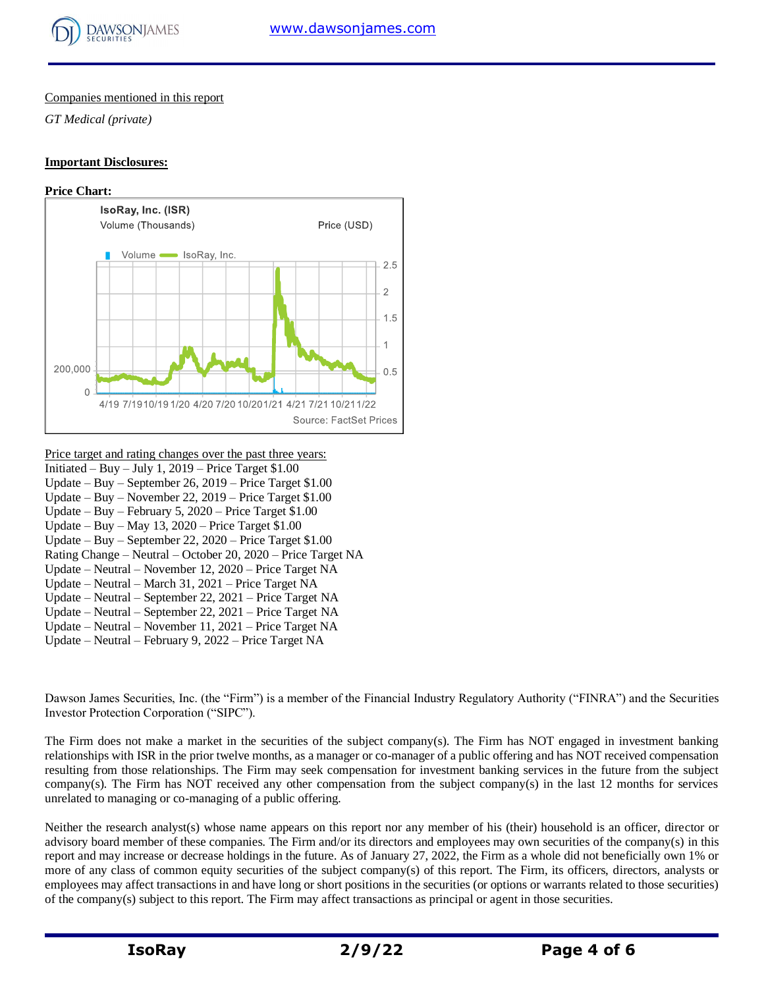

#### Companies mentioned in this report

*GT Medical (private)*

#### **Important Disclosures:**



#### Price target and rating changes over the past three years: Initiated – Buy – July 1,  $2019$  – Price Target \$1.00

- Update Buy September 26, 2019 Price Target \$1.00
- Update Buy November 22, 2019 Price Target \$1.00
- Update Buy February 5, 2020 Price Target \$1.00
- Update Buy May 13, 2020 Price Target \$1.00
- Update Buy September 22, 2020 Price Target \$1.00 Rating Change – Neutral – October 20, 2020 – Price Target NA
- Update Neutral November 12, 2020 Price Target NA
- Update Neutral March 31, 2021 Price Target NA
- Update Neutral September 22, 2021 Price Target NA
- Update Neutral September 22, 2021 Price Target NA
- Update Neutral November 11, 2021 Price Target NA
- Update Neutral February 9, 2022 Price Target NA

Dawson James Securities, Inc. (the "Firm") is a member of the Financial Industry Regulatory Authority ("FINRA") and the Securities Investor Protection Corporation ("SIPC").

The Firm does not make a market in the securities of the subject company(s). The Firm has NOT engaged in investment banking relationships with ISR in the prior twelve months, as a manager or co-manager of a public offering and has NOT received compensation resulting from those relationships. The Firm may seek compensation for investment banking services in the future from the subject company(s). The Firm has NOT received any other compensation from the subject company(s) in the last 12 months for services unrelated to managing or co-managing of a public offering.

Neither the research analyst(s) whose name appears on this report nor any member of his (their) household is an officer, director or advisory board member of these companies. The Firm and/or its directors and employees may own securities of the company(s) in this report and may increase or decrease holdings in the future. As of January 27, 2022, the Firm as a whole did not beneficially own 1% or more of any class of common equity securities of the subject company(s) of this report. The Firm, its officers, directors, analysts or employees may affect transactions in and have long or short positions in the securities (or options or warrants related to those securities) of the company(s) subject to this report. The Firm may affect transactions as principal or agent in those securities.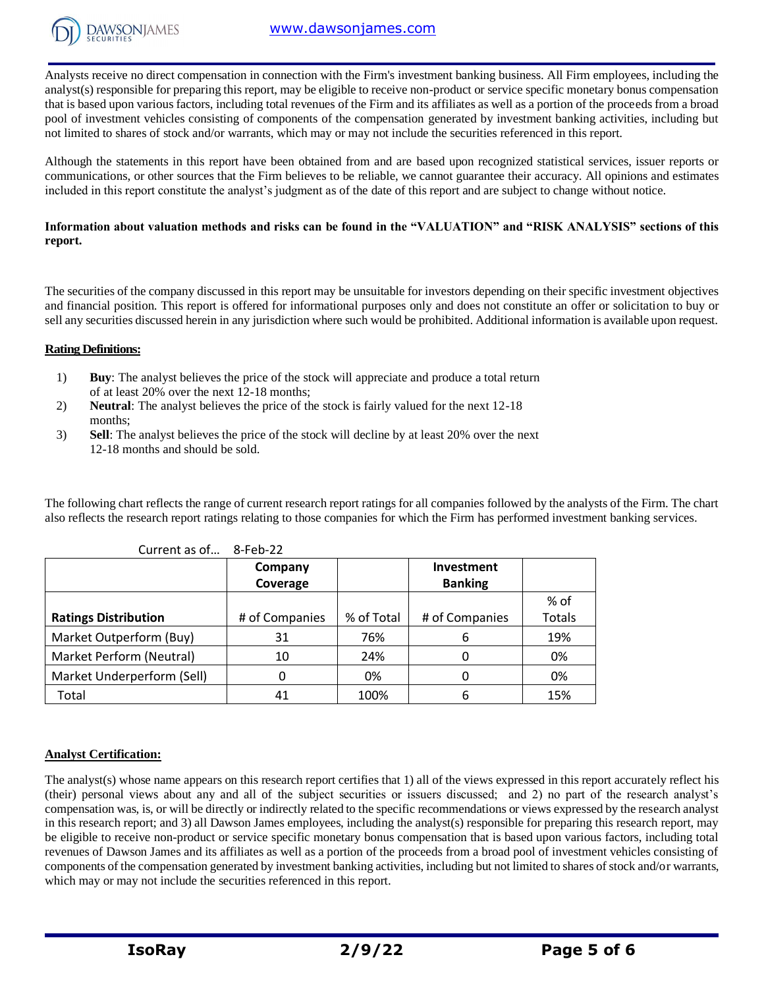

Analysts receive no direct compensation in connection with the Firm's investment banking business. All Firm employees, including the analyst(s) responsible for preparing this report, may be eligible to receive non-product or service specific monetary bonus compensation that is based upon various factors, including total revenues of the Firm and its affiliates as well as a portion of the proceeds from a broad pool of investment vehicles consisting of components of the compensation generated by investment banking activities, including but not limited to shares of stock and/or warrants, which may or may not include the securities referenced in this report.

Although the statements in this report have been obtained from and are based upon recognized statistical services, issuer reports or communications, or other sources that the Firm believes to be reliable, we cannot guarantee their accuracy. All opinions and estimates included in this report constitute the analyst's judgment as of the date of this report and are subject to change without notice.

# **Information about valuation methods and risks can be found in the "VALUATION" and "RISK ANALYSIS" sections of this report.**

The securities of the company discussed in this report may be unsuitable for investors depending on their specific investment objectives and financial position. This report is offered for informational purposes only and does not constitute an offer or solicitation to buy or sell any securities discussed herein in any jurisdiction where such would be prohibited. Additional information is available upon request.

### **Rating Definitions:**

- 1) **Buy**: The analyst believes the price of the stock will appreciate and produce a total return of at least 20% over the next 12-18 months;
- 2) **Neutral**: The analyst believes the price of the stock is fairly valued for the next 12-18 months;
- 3) **Sell**: The analyst believes the price of the stock will decline by at least 20% over the next 12-18 months and should be sold.

The following chart reflects the range of current research report ratings for all companies followed by the analysts of the Firm. The chart also reflects the research report ratings relating to those companies for which the Firm has performed investment banking services.

| <u>carrent as one.</u>      |                |            |                |               |
|-----------------------------|----------------|------------|----------------|---------------|
|                             | Company        |            | Investment     |               |
|                             | Coverage       |            | <b>Banking</b> |               |
|                             |                |            |                | % of          |
| <b>Ratings Distribution</b> | # of Companies | % of Total | # of Companies | <b>Totals</b> |
| Market Outperform (Buy)     | 31             | 76%        | b              | 19%           |
| Market Perform (Neutral)    | 10             | 24%        |                | 0%            |
| Market Underperform (Sell)  | 0              | 0%         |                | 0%            |
| Total                       | 41             | 100%       |                | 15%           |

Current as of… 8-Feb-22

#### **Analyst Certification:**

The analyst(s) whose name appears on this research report certifies that 1) all of the views expressed in this report accurately reflect his (their) personal views about any and all of the subject securities or issuers discussed; and 2) no part of the research analyst's compensation was, is, or will be directly or indirectly related to the specific recommendations or views expressed by the research analyst in this research report; and 3) all Dawson James employees, including the analyst(s) responsible for preparing this research report, may be eligible to receive non-product or service specific monetary bonus compensation that is based upon various factors, including total revenues of Dawson James and its affiliates as well as a portion of the proceeds from a broad pool of investment vehicles consisting of components of the compensation generated by investment banking activities, including but not limited to shares of stock and/or warrants, which may or may not include the securities referenced in this report.